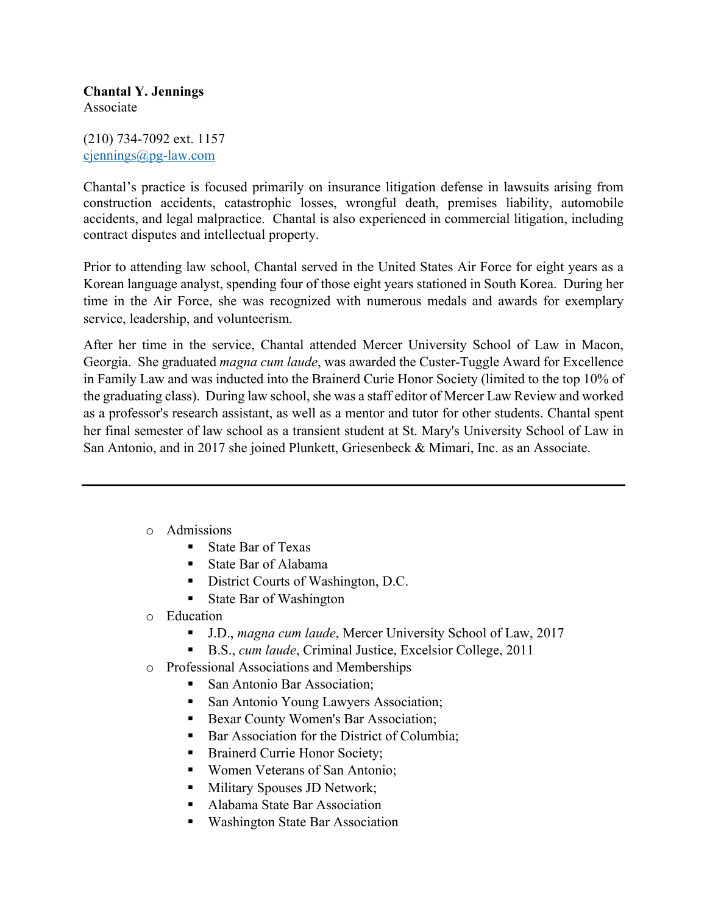## **Chantal Y. Jennings** Associate

(210) 734-7092 ext. 1157 cjennings@pg-law.com

Chantal's practice is focused primarily on insurance litigation defense in lawsuits arising from construction accidents, catastrophic losses, wrongful death, premises liability, automobile accidents, and legal malpractice. Chantal is also experienced in commercial litigation, including contract disputes and intellectual property.

Prior to attending law school, Chantal served in the United States Air Force for eight years as a Korean language analyst, spending four of those eight years stationed in South Korea. During her time in the Air Force, she was recognized with numerous medals and awards for exemplary service, leadership, and volunteerism.

After her time in the service, Chantal attended Mercer University School of Law in Macon, Georgia. She graduated *magna cum laude*, was awarded the Custer-Tuggle Award for Excellence in Family Law and was inducted into the Brainerd Curie Honor Society (limited to the top 10% of the graduating class). During law school, she was a staff editor of Mercer Law Review and worked as a professor's research assistant, as well as a mentor and tutor for other students. Chantal spent her final semester of law school as a transient student at St. Mary's University School of Law in San Antonio, and in 2017 she joined Plunkett, Griesenbeck & Mimari, Inc. as an Associate.

- o Admissions
	- State Bar of Texas
	- § State Bar of Alabama
	- District Courts of Washington, D.C.
	- State Bar of Washington
- o Education
	- § J.D., *magna cum laude*, Mercer University School of Law, 2017
		- § B.S., *cum laude*, Criminal Justice, Excelsior College, 2011
- o Professional Associations and Memberships
	- San Antonio Bar Association;
	- San Antonio Young Lawyers Association;
	- Bexar County Women's Bar Association;
	- Bar Association for the District of Columbia;
	- Brainerd Currie Honor Society;
	- Women Veterans of San Antonio;
	- Military Spouses JD Network;
	- Alabama State Bar Association
	- Washington State Bar Association